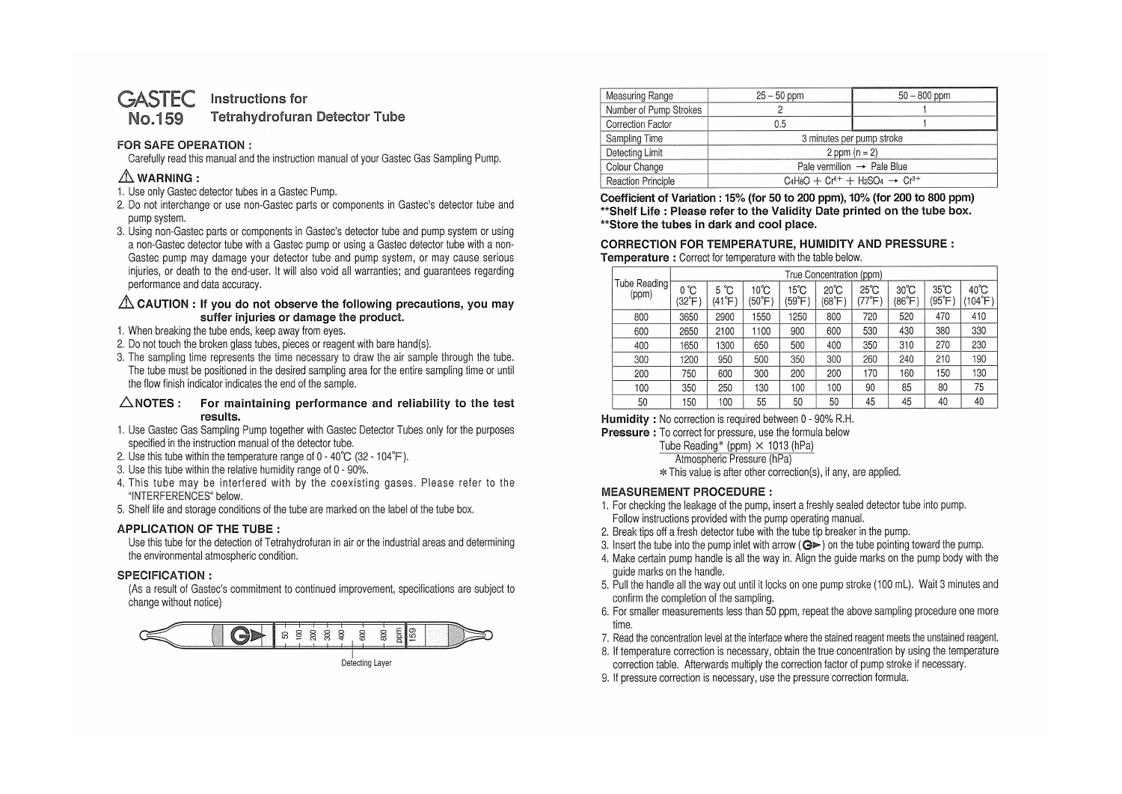#### Instructions for **GASTEC Tetrahydrofuran Detector Tube** No.159

## **FOR SAFE OPERATION** :

Carefully read this manual and the instruction manual of your Gastec Gas Sampling Pump.

# **.&.WARNING:**

- 1. Use only Gastec detector tubes in a Gastec Pump.
- 2. Do not interchange or use non-Gastec parts or components in Gastec's detector tube and pump system.
- 3. Using non-Gastec parts or components in Gastec's detector tube and pump system or using a non-Gastec detector tube with a Gastec pump or using a Gastec detector tube with a non-Gastec pump may damage your detector tube and pump system, or may cause serious injuries, or death to the end-user. It will also void all warranties; and guarantees regarding performance and data accuracy.

## $\triangle$  CAUTION : If you do not observe the following precautions, you may **suffer injuries or damage the product.**

- 1. When breaking the tube ends, keep away from eyes.
- 2. Do not touch the broken glass tubes, pieces or reagent with bare hand(s).
- 3. The sampling time represents the time necessary to draw the air sample through the tube. The tube must be positioned in the desired sampling area for the entire sampling time or until the flow finish indicator indicates the end of the sample.

#### **6.NOTES: For maintaining performance and reliability to the test results.**

- 1. Use Gastec Gas Sampling Pump together with Gastec Detector Tubes only for the purposes specified in the instruction manual of the detector tube.
- 2. Use this tube within the temperature range of  $0 40^{\circ}C$  (32 104 $^{\circ}F$ ).
- 3. Use this tube within the relative humidity range of O 90%.
- 4. This tube may be interfered with by the coexisting gases. Please refer to the "INTERFERENCES" below.
- 5. Shelf life and storage conditions of the tube are marked on the label of the tube box.

## **APPLICATION OF THE TUBE** :

Use this tube for the detection of Tetrahydrofuran in air or the industrial areas and determining the environmental atmospheric condition.

## **SPECIFICATION** :

(As a result of Gastec's commitment to continued improvement, specifications are subject to change without notice)



| Measuring Range           | $25 - 50$ ppm                                     | $50 - 800$ ppm |  |  |  |
|---------------------------|---------------------------------------------------|----------------|--|--|--|
| Number of Pump Strokes    |                                                   |                |  |  |  |
| <b>Correction Factor</b>  | 0.5                                               |                |  |  |  |
| Sampling Time             | 3 minutes per pump stroke                         |                |  |  |  |
| Detecting Limit           | 2 ppm $(n = 2)$                                   |                |  |  |  |
| Colour Change             | Pale vermilion $\rightarrow$ Pale Blue            |                |  |  |  |
| <b>Reaction Principle</b> | $C_4H_8O + Cr^{6+} + H_2SO_4 \rightarrow Cr^{3+}$ |                |  |  |  |

**Coefficient of Variation** : **15% (for 50 to 200 ppm), 10% (for 200 to 800 ppm) \*\*Shelf Life** : **Please refer to the Validity Date printed on the tube box. \*\*Store the tubes in dark and cool place.** 

#### **CORRECTION FOR TEMPERATURE, HUMIDITY AND PRESSURE** : **Temperature** : Correct for temperature with the table below.

| Tube Reading<br>(ppm) | True Concentration (ppm) |                |                          |                          |                          |                        |                          |                         |                           |
|-----------------------|--------------------------|----------------|--------------------------|--------------------------|--------------------------|------------------------|--------------------------|-------------------------|---------------------------|
|                       | °C<br>0<br>(32°F)        | 5 °C<br>(41°F) | $10^{\circ}$ C<br>(50°F) | $15^{\circ}$ C<br>(59°F) | $20^{\circ}$ C<br>(68°F) | $25^{\circ}$ C<br>77°F | $30^{\circ}$ C<br>(86°F) | $35^{\circ}$ C<br>'95°F | $40^{\circ}$ C<br>(104°F) |
| 800                   | 3650                     | 2900           | 550                      | 1250                     | 800                      | 720                    | 520                      | 470                     | 410                       |
| 600                   | 2650                     | 2100           | 1100                     | 900                      | 600                      | 530                    | 430                      | 380                     | 330                       |
| 400                   | 1650                     | 1300           | 650                      | 500                      | 400                      | 350                    | 310                      | 270                     | 230                       |
| 300                   | 1200                     | 950            | 500                      | 350                      | 300                      | 260                    | 240                      | 210                     | 190                       |
| 200                   | 750                      | 600            | 300                      | 200                      | 200                      | 170                    | 160                      | 150                     | 130                       |
| 100                   | 350                      | 250            | 130                      | 100                      | 100                      | 90                     | 85                       | 80                      | 75                        |
| 50                    | 50                       | 100            | 55                       | 50                       | 50                       | 45                     | 45                       | 40                      | 40                        |

**Humidity** : No correction is required between O - 90% R.H.

**Pressure** : To correct for pressure, use the formula below

Tube Reading\* (ppm)  $\times$  1013 (hPa)

Atmospheric Pressure (hPa)

\* This value is after other correction(s), if any, are applied.

## **MEASUREMENT PROCEDURE:**

- 1. For checking the leakage of the pump, insert a freshly sealed detector tube into pump. Follow instructions provided with the pump operating manual.
- 2. Break tips off a fresh detector tube with the tube tip breaker in the pump.
- 3. Insert the tube into the pump inlet with arrow ( $\bigcirc$ ) on the tube pointing toward the pump.
- 4. Make certain pump handle is all the way in. Align the guide marks on the pump body with the guide marks on the handle.
- 5. Pull the handle all the way out until it locks on one pump stroke (100 ml). Wait 3 minutes and confirm the completion of the sampling.
- 6. For smaller measurements less than 50 ppm, repeat the above sampling procedure one more time.
- 7. Read the concentration level at the interface where the stained reagent meets the unstained reagent.
- 8. If temperature correction is necessary, obtain the true concentration by using the temperature correction table. Afterwards multiply the correction factor of pump stroke if necessary.
- 9. If pressure correction is necessary, use the pressure correction formula.